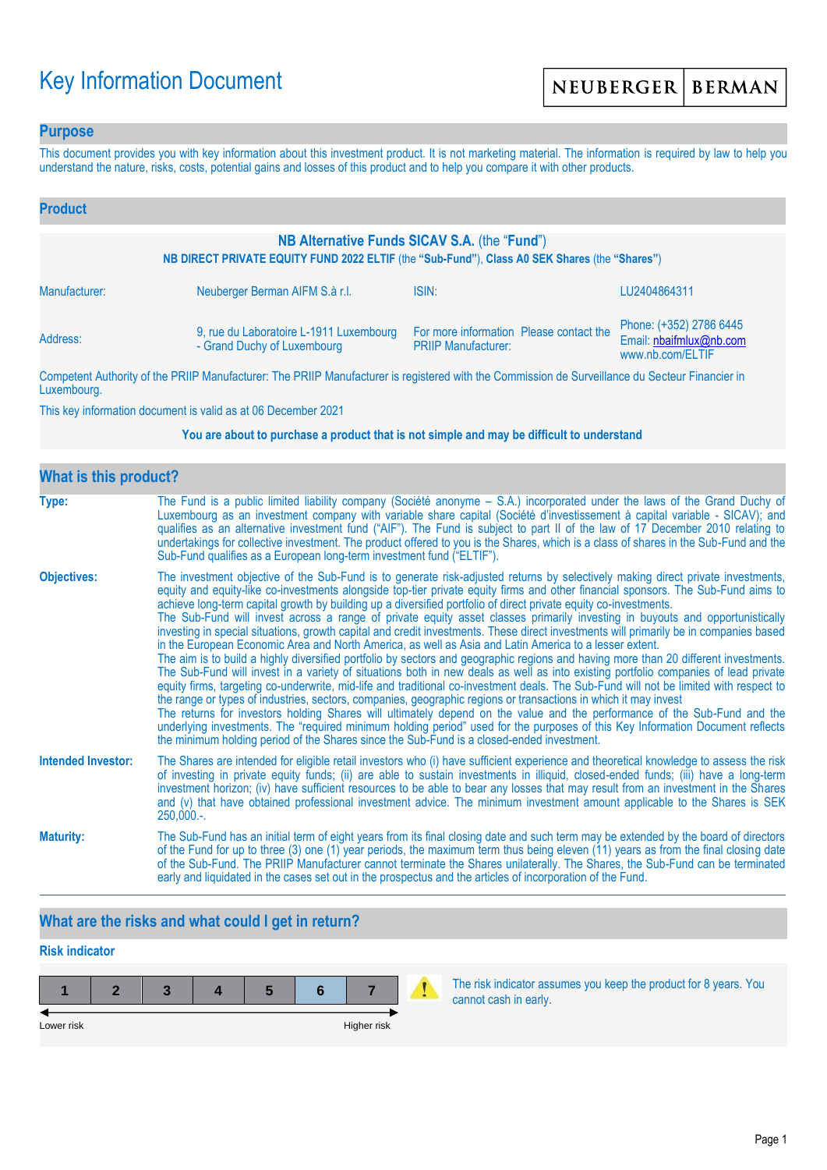# Key Information Document

### **Purpose**

This document provides you with key information about this investment product. It is not marketing material. The information is required by law to help you understand the nature, risks, costs, potential gains and losses of this product and to help you compare it with other products.

| <b>Product</b>                                                                                                                                |                                                                        |                                                                       |                                                                        |  |
|-----------------------------------------------------------------------------------------------------------------------------------------------|------------------------------------------------------------------------|-----------------------------------------------------------------------|------------------------------------------------------------------------|--|
| NB Alternative Funds SICAV S.A. (the "Fund")<br>NB DIRECT PRIVATE EQUITY FUND 2022 ELTIF (the "Sub-Fund"), Class A0 SEK Shares (the "Shares") |                                                                        |                                                                       |                                                                        |  |
| Manufacturer:                                                                                                                                 | Neuberger Berman AIFM S.à r.l.                                         | ISIN:                                                                 | LU2404864311                                                           |  |
| Address:                                                                                                                                      | 9, rue du Laboratoire L-1911 Luxembourg<br>- Grand Duchy of Luxembourg | For more information Please contact the<br><b>PRIIP Manufacturer:</b> | Phone: (+352) 2786 6445<br>Email: nbaifmlux@nb.com<br>www.nb.com/ELTIF |  |

Competent Authority of the PRIIP Manufacturer: The PRIIP Manufacturer is registered with the Commission de Surveillance du Secteur Financier in Luxembourg.

This key information document is valid as at 06 December 2021

#### **You are about to purchase a product that is not simple and may be difficult to understand**

| What is this product?     |                                                                                                                                                                                                                                                                                                                                                                                                                                                                                                                                                                                                                                                                                                                                                                                                                                                                                                                                                                                                                                                                                                                                                                                                                                                                                                                                                                                                                                                                                                                                                                                                                                                                               |  |  |  |
|---------------------------|-------------------------------------------------------------------------------------------------------------------------------------------------------------------------------------------------------------------------------------------------------------------------------------------------------------------------------------------------------------------------------------------------------------------------------------------------------------------------------------------------------------------------------------------------------------------------------------------------------------------------------------------------------------------------------------------------------------------------------------------------------------------------------------------------------------------------------------------------------------------------------------------------------------------------------------------------------------------------------------------------------------------------------------------------------------------------------------------------------------------------------------------------------------------------------------------------------------------------------------------------------------------------------------------------------------------------------------------------------------------------------------------------------------------------------------------------------------------------------------------------------------------------------------------------------------------------------------------------------------------------------------------------------------------------------|--|--|--|
| Type:                     | The Fund is a public limited liability company (Société anonyme – S.A.) incorporated under the laws of the Grand Duchy of<br>Luxembourg as an investment company with variable share capital (Société d'investissement à capital variable - SICAV); and<br>qualifies as an alternative investment fund ("AIF"). The Fund is subject to part II of the law of 17 December 2010 relating to<br>undertakings for collective investment. The product offered to you is the Shares, which is a class of shares in the Sub-Fund and the<br>Sub-Fund qualifies as a European long-term investment fund ("ELTIF").                                                                                                                                                                                                                                                                                                                                                                                                                                                                                                                                                                                                                                                                                                                                                                                                                                                                                                                                                                                                                                                                    |  |  |  |
| <b>Objectives:</b>        | The investment objective of the Sub-Fund is to generate risk-adjusted returns by selectively making direct private investments,<br>equity and equity-like co-investments alongside top-tier private equity firms and other financial sponsors. The Sub-Fund aims to<br>achieve long-term capital growth by building up a diversified portfolio of direct private equity co-investments.<br>The Sub-Fund will invest across a range of private equity asset classes primarily investing in buyouts and opportunistically<br>investing in special situations, growth capital and credit investments. These direct investments will primarily be in companies based<br>in the European Economic Area and North America, as well as Asia and Latin America to a lesser extent.<br>The aim is to build a highly diversified portfolio by sectors and geographic regions and having more than 20 different investments.<br>The Sub-Fund will invest in a variety of situations both in new deals as well as into existing portfolio companies of lead private<br>equity firms, targeting co-underwrite, mid-life and traditional co-investment deals. The Sub-Fund will not be limited with respect to<br>the range or types of industries, sectors, companies, geographic regions or transactions in which it may invest<br>The returns for investors holding Shares will ultimately depend on the value and the performance of the Sub-Fund and the<br>underlying investments. The "required minimum holding period" used for the purposes of this Key Information Document reflects<br>the minimum holding period of the Shares since the Sub-Fund is a closed-ended investment. |  |  |  |
| <b>Intended Investor:</b> | The Shares are intended for eligible retail investors who (i) have sufficient experience and theoretical knowledge to assess the risk<br>of investing in private equity funds; (ii) are able to sustain investments in illiquid, closed-ended funds; (iii) have a long-term<br>investment horizon; (iv) have sufficient resources to be able to bear any losses that may result from an investment in the Shares<br>and (v) that have obtained professional investment advice. The minimum investment amount applicable to the Shares is SEK<br>$250,000.$ -.                                                                                                                                                                                                                                                                                                                                                                                                                                                                                                                                                                                                                                                                                                                                                                                                                                                                                                                                                                                                                                                                                                                 |  |  |  |
| <b>Maturity:</b>          | The Sub-Fund has an initial term of eight years from its final closing date and such term may be extended by the board of directors<br>of the Fund for up to three (3) one (1) year periods, the maximum term thus being eleven (11) years as from the final closing date<br>of the Sub-Fund. The PRIIP Manufacturer cannot terminate the Shares unilaterally. The Shares, the Sub-Fund can be terminated<br>early and liquidated in the cases set out in the prospectus and the articles of incorporation of the Fund.                                                                                                                                                                                                                                                                                                                                                                                                                                                                                                                                                                                                                                                                                                                                                                                                                                                                                                                                                                                                                                                                                                                                                       |  |  |  |

# **What are the risks and what could I get in return?**

# **Risk indicator**



The risk indicator assumes you keep the product for 8 years. You cannot cash in early.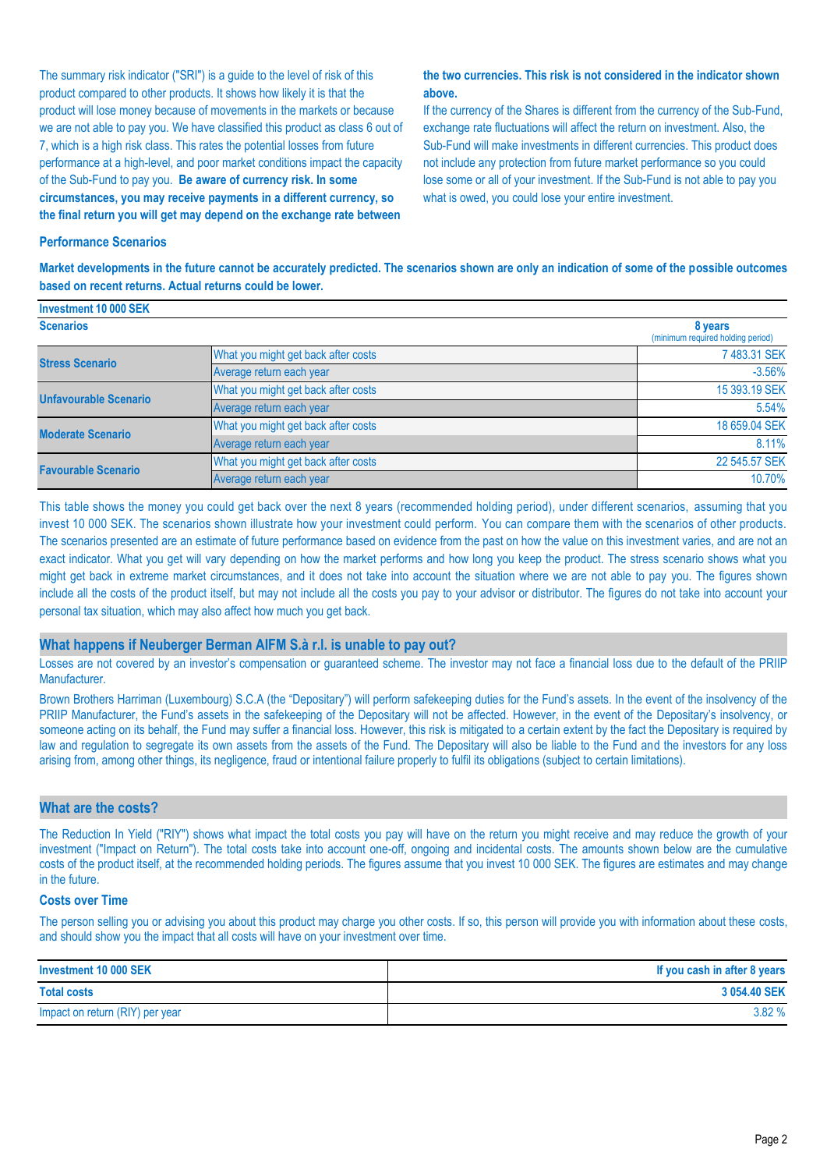The summary risk indicator ("SRI") is a guide to the level of risk of this product compared to other products. It shows how likely it is that the product will lose money because of movements in the markets or because we are not able to pay you. We have classified this product as class 6 out of 7, which is a high risk class. This rates the potential losses from future performance at a high-level, and poor market conditions impact the capacity of the Sub-Fund to pay you. **Be aware of currency risk. In some circumstances, you may receive payments in a different currency, so the final return you will get may depend on the exchange rate between** 

#### **the two currencies. This risk is not considered in the indicator shown above.**

If the currency of the Shares is different from the currency of the Sub-Fund, exchange rate fluctuations will affect the return on investment. Also, the Sub-Fund will make investments in different currencies. This product does not include any protection from future market performance so you could lose some or all of your investment. If the Sub-Fund is not able to pay you what is owed, you could lose your entire investment.

#### **Performance Scenarios**

**Investment 10 000 SEK**

**Market developments in the future cannot be accurately predicted. The scenarios shown are only an indication of some of the possible outcomes based on recent returns. Actual returns could be lower.**

| <b>ILIVESUREIR TU UUU JEN</b> |                                     |                                              |
|-------------------------------|-------------------------------------|----------------------------------------------|
| <b>Scenarios</b>              |                                     | 8 years<br>(minimum required holding period) |
| <b>Stress Scenario</b>        | What you might get back after costs | 7 483.31 SEK                                 |
|                               | Average return each year            | $-3.56%$                                     |
| <b>Unfavourable Scenario</b>  | What you might get back after costs | 15 393.19 SEK                                |
|                               | Average return each year            | 5.54%                                        |
| <b>Moderate Scenario</b>      | What you might get back after costs | 18 659.04 SEK                                |
|                               | Average return each year            | 8.11%                                        |
| <b>Favourable Scenario</b>    | What you might get back after costs | 22 545.57 SEK                                |
|                               | Average return each year            | 10.70%                                       |

This table shows the money you could get back over the next 8 years (recommended holding period), under different scenarios, assuming that you invest 10 000 SEK. The scenarios shown illustrate how your investment could perform. You can compare them with the scenarios of other products. The scenarios presented are an estimate of future performance based on evidence from the past on how the value on this investment varies, and are not an exact indicator. What you get will vary depending on how the market performs and how long you keep the product. The stress scenario shows what you might get back in extreme market circumstances, and it does not take into account the situation where we are not able to pay you. The figures shown include all the costs of the product itself, but may not include all the costs you pay to your advisor or distributor. The figures do not take into account your personal tax situation, which may also affect how much you get back.

#### **What happens if Neuberger Berman AIFM S.à r.l. is unable to pay out?**

Losses are not covered by an investor's compensation or guaranteed scheme. The investor may not face a financial loss due to the default of the PRIIP Manufacturer.

Brown Brothers Harriman (Luxembourg) S.C.A (the "Depositary") will perform safekeeping duties for the Fund's assets. In the event of the insolvency of the PRIIP Manufacturer, the Fund's assets in the safekeeping of the Depositary will not be affected. However, in the event of the Depositary's insolvency, or someone acting on its behalf, the Fund may suffer a financial loss. However, this risk is mitigated to a certain extent by the fact the Depositary is required by law and regulation to segregate its own assets from the assets of the Fund. The Depositary will also be liable to the Fund and the investors for any loss arising from, among other things, its negligence, fraud or intentional failure properly to fulfil its obligations (subject to certain limitations).

#### **What are the costs?**

The Reduction In Yield ("RIY") shows what impact the total costs you pay will have on the return you might receive and may reduce the growth of your investment ("Impact on Return"). The total costs take into account one-off, ongoing and incidental costs. The amounts shown below are the cumulative costs of the product itself, at the recommended holding periods. The figures assume that you invest 10 000 SEK. The figures are estimates and may change in the future.

#### **Costs over Time**

The person selling you or advising you about this product may charge you other costs. If so, this person will provide you with information about these costs, and should show you the impact that all costs will have on your investment over time.

| Investment 10 000 SEK           | If you cash in after 8 years |
|---------------------------------|------------------------------|
| <b>Total costs</b>              | 3 054.40 SEK                 |
| Impact on return (RIY) per year | 3.82%                        |